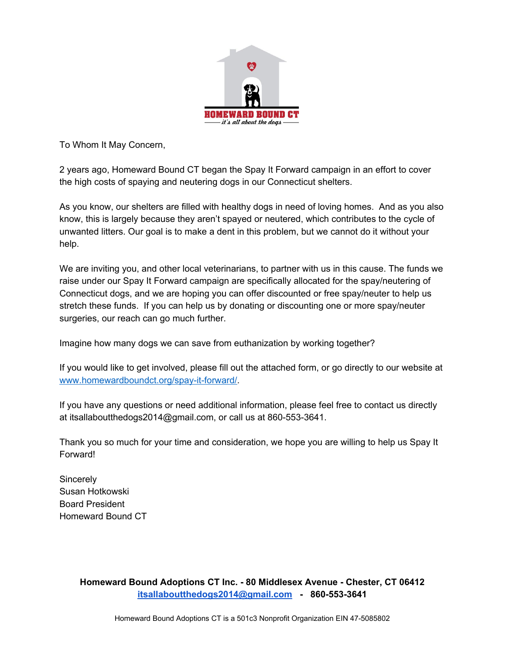

To Whom It May Concern,

2 years ago, Homeward Bound CT began the Spay It Forward campaign in an effort to cover the high costs of spaying and neutering dogs in our Connecticut shelters.

As you know, our shelters are filled with healthy dogs in need of loving homes. And as you also know, this is largely because they aren't spayed or neutered, which contributes to the cycle of unwanted litters. Our goal is to make a dent in this problem, but we cannot do it without your help.

We are inviting you, and other local veterinarians, to partner with us in this cause. The funds we raise under our Spay It Forward campaign are specifically allocated for the spay/neutering of Connecticut dogs, and we are hoping you can offer discounted or free spay/neuter to help us stretch these funds. If you can help us by donating or discounting one or more spay/neuter surgeries, our reach can go much further.

Imagine how many dogs we can save from euthanization by working together?

If you would like to get involved, please fill out the attached form, or go directly to our website at [www.homewardboundct.org/spay-it-forward/](http://www.homewardboundct.org/spay-it-forward/).

If you have any questions or need additional information, please feel free to contact us directly at itsallaboutthedogs2014@gmail.com, or call us at 860-553-3641.

Thank you so much for your time and consideration, we hope you are willing to help us Spay It Forward!

**Sincerely** Susan Hotkowski Board President Homeward Bound CT

> **Homeward Bound Adoptions CT Inc. - 80 Middlesex Avenue - Chester, CT 06412 [itsallaboutthedogs2014@gmail.com](mailto:itsallaboutthedogs2014@gmail.com) - 860-553-3641**